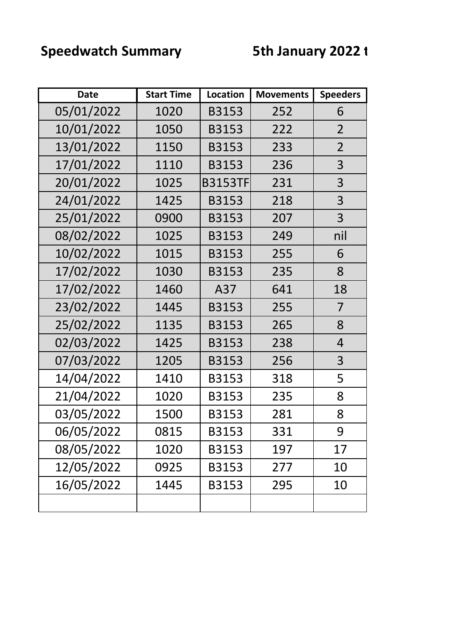## **Speedwatch Summary <b>5th January 2022** to

| <b>Date</b> | <b>Start Time</b> | <b>Location</b> | <b>Movements</b> | <b>Speeders</b> |
|-------------|-------------------|-----------------|------------------|-----------------|
| 05/01/2022  | 1020              | <b>B3153</b>    | 252              | 6               |
| 10/01/2022  | 1050              | <b>B3153</b>    | 222              | $\overline{2}$  |
| 13/01/2022  | 1150              | <b>B3153</b>    | 233              | $\overline{2}$  |
| 17/01/2022  | 1110              | B3153           | 236              | 3               |
| 20/01/2022  | 1025              | <b>B3153TF</b>  | 231              | 3               |
| 24/01/2022  | 1425              | B3153           | 218              | 3               |
| 25/01/2022  | 0900              | B3153           | 207              | 3               |
| 08/02/2022  | 1025              | <b>B3153</b>    | 249              | nil             |
| 10/02/2022  | 1015              | <b>B3153</b>    | 255              | 6               |
| 17/02/2022  | 1030              | <b>B3153</b>    | 235              | 8               |
| 17/02/2022  | 1460              | A37             | 641              | 18              |
| 23/02/2022  | 1445              | B3153           | 255              | 7               |
| 25/02/2022  | 1135              | B3153           | 265              | 8               |
| 02/03/2022  | 1425              | B3153           | 238              | 4               |
| 07/03/2022  | 1205              | <b>B3153</b>    | 256              | 3               |
| 14/04/2022  | 1410              | B3153           | 318              | 5               |
| 21/04/2022  | 1020              | B3153           | 235              | 8               |
| 03/05/2022  | 1500              | B3153           | 281              | 8               |
| 06/05/2022  | 0815              | B3153           | 331              | 9               |
| 08/05/2022  | 1020              | B3153           | 197              | 17              |
| 12/05/2022  | 0925              | B3153           | 277              | 10              |
| 16/05/2022  | 1445              | B3153           | 295              | 10              |
|             |                   |                 |                  |                 |